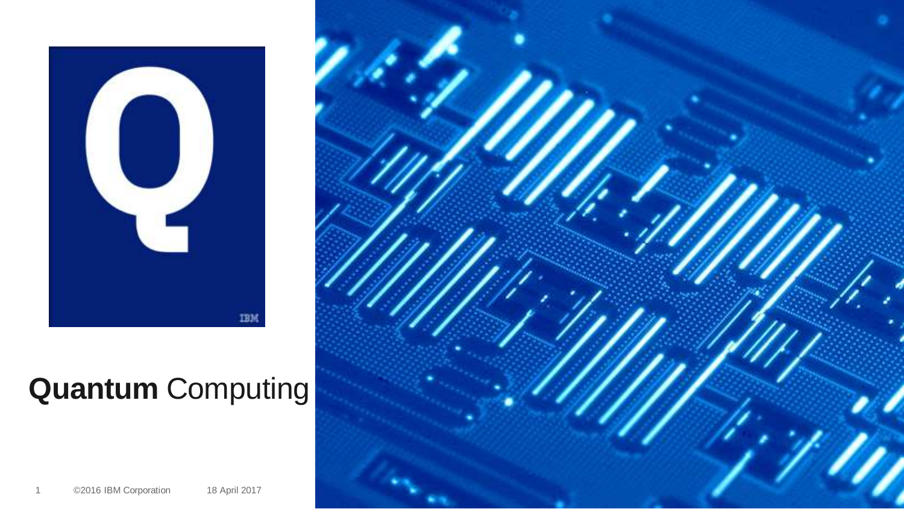

# **Quantum Computing**

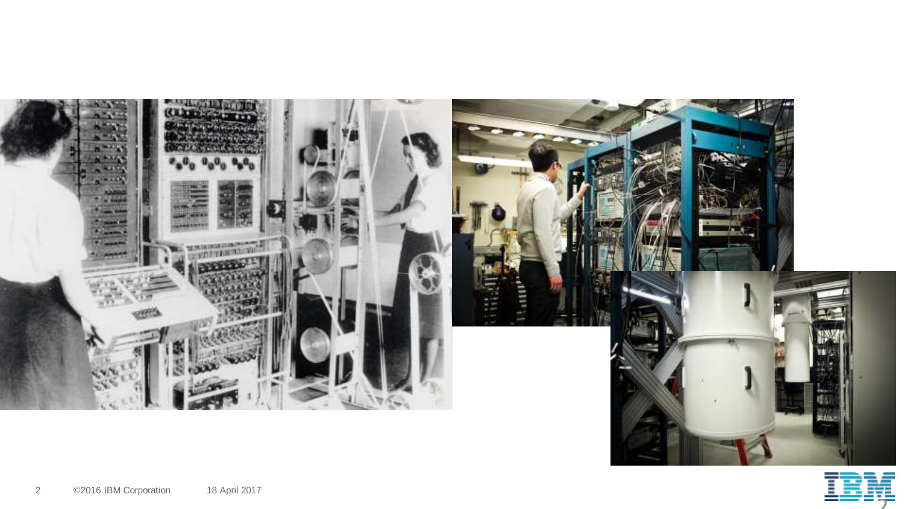

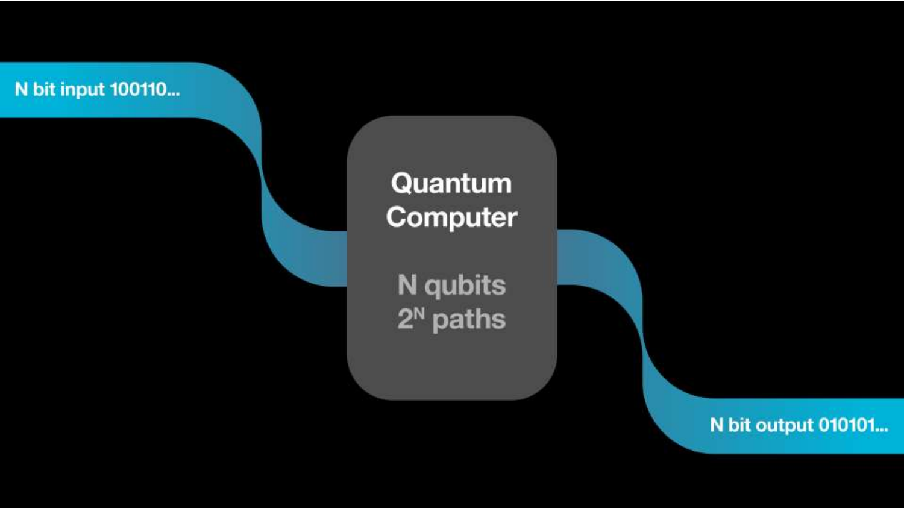

Quantum Computer

N qubits<br> $2^N$  paths

N bit output 010101...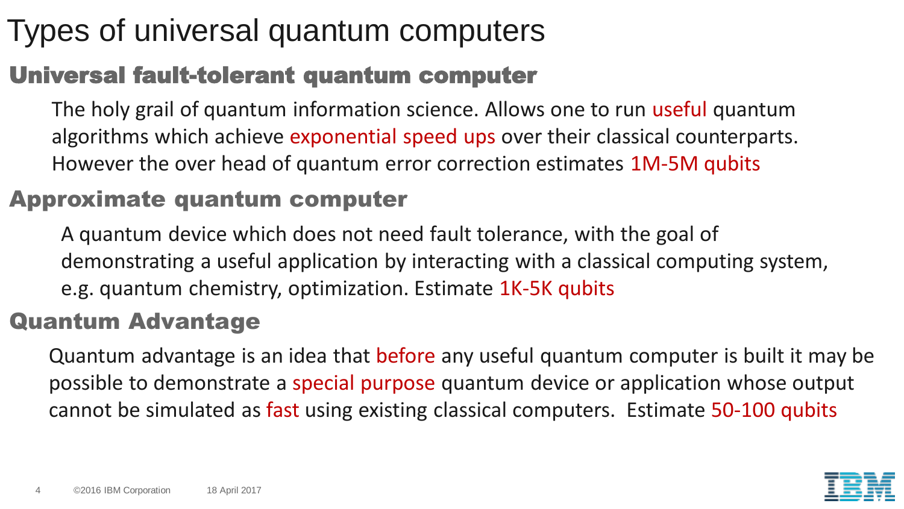## Types of universal quantum computers

### Universal fault-tolerant quantum computer

The holy grail of quantum information science. Allows one to run useful quantum algorithms which achieve exponential speed ups over their classical counterparts. However the over head of quantum error correction estimates 1M-5M qubits

### Approximate quantum computer

A quantum device which does not need fault tolerance, with the goal of demonstrating a useful application by interacting with a classical computing system, e.g. quantum chemistry, optimization. Estimate 1K-5K qubits

#### Quantum Advantage

Quantum advantage is an idea that before any useful quantum computer is built it may be possible to demonstrate a special purpose quantum device or application whose output cannot be simulated as fast using existing classical computers. Estimate 50-100 qubits

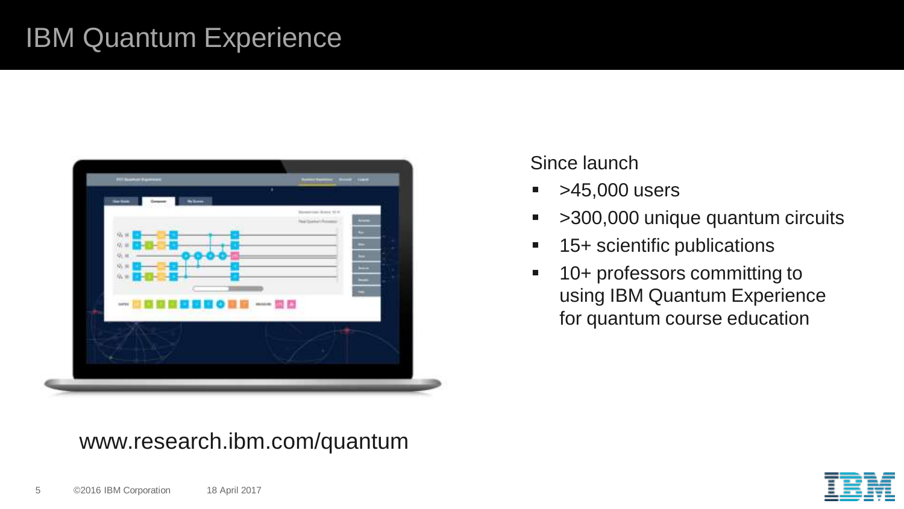## IBM Quantum Experience



#### Since launch

- $\sim$  >45,000 users
- >300,000 unique quantum circuits
- 15+ scientific publications
- 10+ professors committing to using IBM Quantum Experience for quantum course education

#### www.research.ibm.com/quantum